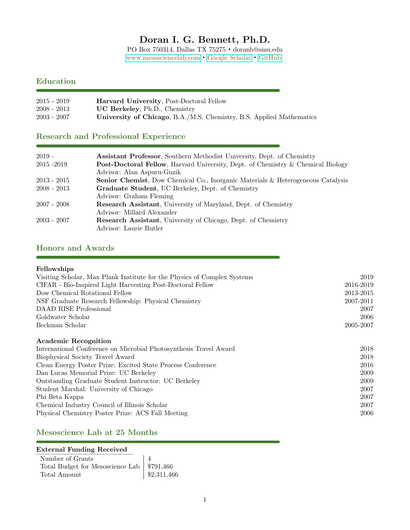# Doran I. G. Bennett, Ph.D.

PO Box 750314, Dallas TX 75275 · doranb@smu.edu <www.mesosciencelab.com> · [Google Scholar](https://scholar.google.com/citations?user=aJnOF8IAAAAJ&hl=en&authuser=1) · [GitHub](https://github.com/MesoscienceLab)

## Education

| $2015 - 2019$ | <b>Harvard University, Post-Doctoral Fellow</b>                      |
|---------------|----------------------------------------------------------------------|
| $2008 - 2013$ | <b>UC Berkeley, Ph.D., Chemistry</b>                                 |
| $2003 - 2007$ | University of Chicago, B.A./M.S. Chemistry, B.S. Applied Mathematics |

## Research and Professional Experience

| $2019 -$      | <b>Assistant Professor, Southern Methodist University, Dept. of Chemistry</b>           |
|---------------|-----------------------------------------------------------------------------------------|
| 2015 - 2019   | <b>Post-Doctoral Fellow</b> , Harvard University, Dept. of Chemistry & Chemical Biology |
|               | Advisor: Alan Aspuru-Guzik                                                              |
| $2013 - 2015$ | <b>Senior Chemist</b> , Dow Chemical Co., Inorganic Materials & Heterogeneous Catalysis |
| $2008 - 2013$ | Graduate Student, UC Berkeley, Dept. of Chemistry                                       |
|               | Advisor: Graham Fleming                                                                 |
| $2007 - 2008$ | Research Assistant, University of Maryland, Dept. of Chemistry                          |
|               | Advisor: Millard Alexander                                                              |
| $2003 - 2007$ | <b>Research Assistant</b> , University of Chicago, Dept. of Chemistry                   |
|               | Advisor: Laurie Butler                                                                  |

# Honors and Awards

| Fellowships                                                              |           |
|--------------------------------------------------------------------------|-----------|
| Visiting Scholar, Max Plank Institute for the Physics of Complex Systems | 2019      |
| CIFAR - Bio-Inspired Light Harvesting Post-Doctoral Fellow               | 2016-2019 |
| Dow Chemical Rotational Fellow                                           | 2013-2015 |
| NSF Graduate Research Fellowship: Physical Chemistry                     | 2007-2011 |
| DAAD RISE Professional                                                   | 2007      |
| Goldwater Scholar                                                        | 2006      |
| Beckman Scholar                                                          | 2005-2007 |
| <b>Academic Recognition</b>                                              |           |
| International Conference on Microbial Photosynthesis Travel Award        | 2018      |
| Biophysical Society Travel Award                                         | 2018      |
| Clean Energy Poster Prize: Excited State Process Conference              | 2016      |
| Dan Lucas Memorial Prize: UC Berkeley                                    | 2009      |
| Outstanding Graduate Student Instructor: UC Berkeley                     | 2009      |
| Student Marshal: University of Chicago                                   | 2007      |
| Phi Beta Kappa                                                           | 2007      |
| Chemical Industry Council of Illinois Scholar                            | 2007      |
| Physical Chemistry Poster Prize: ACS Fall Meeting                        | 2006      |

## Mesoscience Lab at 25 Months

### External Funding Received

| Number of Grants                             |                           |
|----------------------------------------------|---------------------------|
| Total Budget for Mesoscience Lab   \$791,466 |                           |
| Total Amount                                 | $\frac{1}{2}$ \$2,311,466 |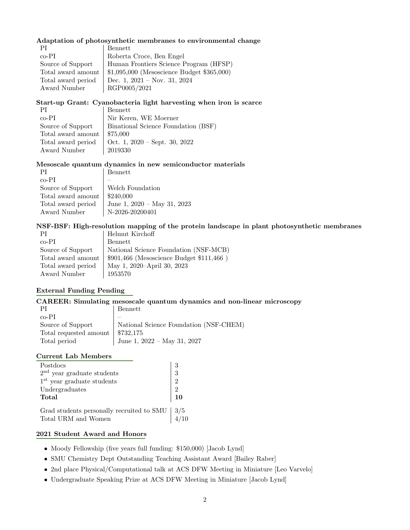### Adaptation of photosynthetic membranes to environmental change

| ΡI                 | Bennett                                                            |
|--------------------|--------------------------------------------------------------------|
| $co-PI$            | Roberta Croce, Ben Engel                                           |
| Source of Support  | Human Frontiers Science Program (HFSP)                             |
|                    | Total award amount   $$1,095,000$ (Mesoscience Budget $$365,000$ ) |
| Total award period | Dec. 1, $2021 - Now. 31, 2024$                                     |
| Award Number       | RGP0005/2021                                                       |

### Start-up Grant: Cyanobacteria light harvesting when iron is scarce

| Bennett                             |
|-------------------------------------|
| Nir Keren, WE Moerner               |
| Binational Science Foundation (BSF) |
| Total award amount $\vert$ \$75,000 |
| Oct. 1, $2020 - Sept. 30, 2022$     |
| 2019330                             |
|                                     |

### Mesoscale quantum dynamics in new semiconductor materials

| ΡI                 | Bennett                          |
|--------------------|----------------------------------|
| co-PI              |                                  |
| Source of Support  | Welch Foundation                 |
| Total award amount | \$240,000                        |
| Total award period | June 1, $2020 - May 31$ , $2023$ |
| Award Number       | N-2026-20200401                  |

### NSF-BSF: High-resolution mapping of the protein landscape in plant photosynthetic membranes

| PI                 | Helmut Kirchoff                             |
|--------------------|---------------------------------------------|
| $co-PI$            | Bennett                                     |
| Source of Support  | National Science Foundation (NSF-MCB)       |
| Total award amount | $$901,466$ (Mesoscience Budget $$111,466$ ) |
| Total award period | May 1, 2020–April 30, 2023                  |
| Award Number       | 1953570                                     |

### External Funding Pending

### CAREER: Simulating mesoscale quantum dynamics and non-linear microscopy

|                                                | Bennett                                |
|------------------------------------------------|----------------------------------------|
| co-PI                                          |                                        |
| Source of Support                              | National Science Foundation (NSF-CHEM) |
| Total requested amount $\frac{1}{2}$ \$732,175 |                                        |
| Total period                                   | June 1, $2022 - May 31, 2027$          |

#### Current Lab Members

| Postdocs                                                                                  |                                                               |
|-------------------------------------------------------------------------------------------|---------------------------------------------------------------|
| $2nd$ year graduate students                                                              | $\begin{array}{ c } 3 \ \hline 3 \end{array}$                 |
| $1st$ year graduate students                                                              | $\left \begin{array}{c} 0 \\ 2 \\ 2 \\ 10 \end{array}\right $ |
| Undergraduates                                                                            |                                                               |
| Total                                                                                     |                                                               |
|                                                                                           |                                                               |
| Grad students personally recruited to SMU $\Big  3/5$<br>Total URM and Women $\Big  4/10$ |                                                               |

### 2021 Student Award and Honors

- Moody Fellowship (five years full funding: \$150,000) [Jacob Lynd]
- SMU Chemistry Dept Outstanding Teaching Assistant Award [Bailey Raber]
- 2nd place Physical/Computational talk at ACS DFW Meeting in Miniature [Leo Varvelo]
- Undergraduate Speaking Prize at ACS DFW Meeting in Miniature [Jacob Lynd]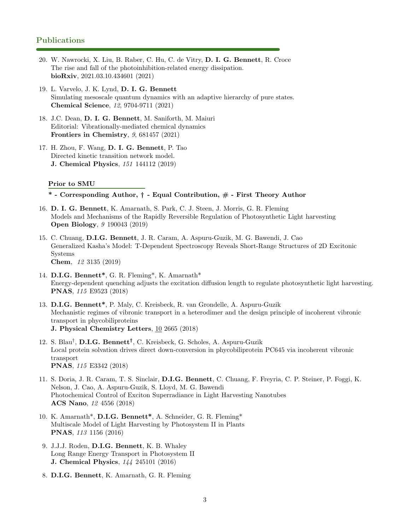### Publications

- 20. W. Nawrocki, X. Liu, B. Raber, C. Hu, C. de Vitry, D. I. G. Bennett, R. Croce The rise and fall of the photoinhibition-related energy dissipation. bioRxiv, 2021.03.10.434601 (2021)
- 19. L. Varvelo, J. K. Lynd, D. I. G. Bennett Simulating mesoscale quantum dynamics with an adaptive hierarchy of pure states. Chemical Science, 12, 9704-9711 (2021)
- 18. J.C. Dean, D. I. G. Bennett, M. Saniforth, M. Maiuri Editorial: Vibrationally-mediated chemical dynamics Frontiers in Chemistry, 9, 681457 (2021)
- 17. H. Zhou, F. Wang, D. I. G. Bennett, P. Tao Directed kinetic transition network model. J. Chemical Physics, 151 144112 (2019)

#### Prior to SMU

#### \* - Corresponding Author, † - Equal Contribution, # - First Theory Author

- 16. D. I. G. Bennett, K. Amarnath, S. Park, C. J. Steen, J. Morris, G. R. Fleming Models and Mechanisms of the Rapidly Reversible Regulation of Photosynthetic Light harvesting Open Biology, 9 190043 (2019)
- 15. C. Chuang, D.I.G. Bennett, J. R. Caram, A. Aspuru-Guzik, M. G. Bawendi, J. Cao Generalized Kasha's Model: T-Dependent Spectroscopy Reveals Short-Range Structures of 2D Excitonic Systems Chem, 12 3135 (2019)
- 14. D.I.G. Bennett\*, G. R. Fleming\*, K. Amarnath\* Energy-dependent quenching adjusts the excitation diffusion length to regulate photosynthetic light harvesting. PNAS, 115 E9523 (2018)
- 13. D.I.G. Bennett\*, P. Maly, C. Kreisbeck, R. van Grondelle, A. Aspuru-Guzik Mechanistic regimes of vibronic transport in a heterodimer and the design principle of incoherent vibronic transport in phycobiliproteins J. Physical Chemistry Letters, 10 2665 (2018)
- 12. S. Blau<sup>†</sup>, **D.I.G. Bennett<sup>†</sup>**, C. Kreisbeck, G. Scholes, A. Aspuru-Guzik Local protein solvation drives direct down-conversion in phycobiliprotein PC645 via incoherent vibronic transport PNAS, 115 E3342 (2018)
- 11. S. Doria, J. R. Caram, T. S. Sinclair, D.I.G. Bennett, C. Chuang, F. Freyria, C. P. Steiner, P. Foggi, K. Nelson, J. Cao, A. Aspuru-Guzik, S. Lloyd, M. G. Bawendi Photochemical Control of Exciton Superradiance in Light Harvesting Nanotubes ACS Nano, 12 4556 (2018)
- 10. K. Amarnath\*, D.I.G. Bennett\*, A. Schneider, G. R. Fleming\* Multiscale Model of Light Harvesting by Photosystem II in Plants PNAS, 113 1156 (2016)
- 9. J.J.J. Roden, D.I.G. Bennett, K. B. Whaley Long Range Energy Transport in Photosystem II J. Chemical Physics, 144 245101 (2016)
- 8. D.I.G. Bennett, K. Amarnath, G. R. Fleming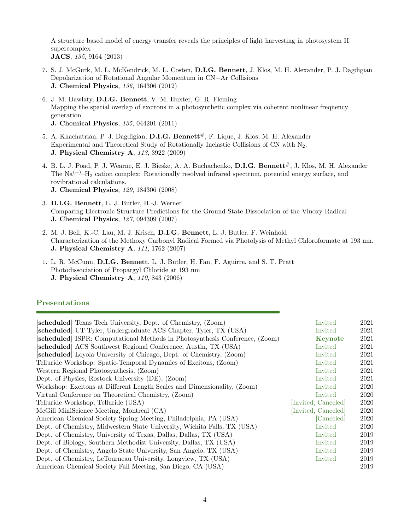A structure based model of energy transfer reveals the principles of light harvesting in photosystem II supercomplex JACS, 135, 9164 (2013)

- 7. S. J. McGurk, M. L. McKendrick, M. L. Costen, D.I.G. Bennett, J. Klos, M. H. Alexander, P. J. Dagdigian Depolarization of Rotational Angular Momentum in CN+Ar Collisions J. Chemical Physics, 136, 164306 (2012)
- 6. J. M. Dawlaty, D.I.G. Bennett, V. M. Huxter, G. R. Fleming Mapping the spatial overlap of excitons in a photosynthetic complex via coherent nonlinear frequency generation.
	- J. Chemical Physics, 135, 044201 (2011)
- 5. A. Khachatrian, P. J. Dagdigian, D.I.G. Bennett<sup>#</sup>, F. Lique, J. Klos, M. H. Alexander Experimental and Theoretical Study of Rotationally Inelastic Collisions of CN with N2. J. Physical Chemistry A, 113, 3922 (2009)
- 4. B. L. J. Poad, P. J. Wearne, E. J. Bieske, A. A. Buchachenko, D.I.G. Bennett<sup>#</sup>, J. Klos, M. H. Alexander The  $\text{Na}^{(+)}$ –H<sub>2</sub> cation complex: Rotationally resolved infrared spectrum, potential energy surface, and rovibrational calculations. J. Chemical Physics, 129, 184306 (2008)
- 3. D.I.G. Bennett, L. J. Butler, H.-J. Werner Comparing Electronic Structure Predictions for the Ground State Dissociation of the Vinoxy Radical J. Chemical Physics, 127, 094309 (2007)
- 2. M. J. Bell, K.-C. Lau, M. J. Krisch, D.I.G. Bennett, L. J. Butler, F. Weinhold Characterization of the Methoxy Carbonyl Radical Formed via Photolysis of Methyl Chloroformate at 193 nm. J. Physical Chemistry A, 111, 1762 (2007)
- 1. L. R. McCunn, D.I.G. Bennett, L. J. Butler, H. Fan, F. Aguirre, and S. T. Pratt Photodissociation of Propargyl Chloride at 193 nm J. Physical Chemistry A, 110, 843 (2006)

### Presentations

| [scheduled] Texas Tech University, Dept. of Chemistry, (Zoom)                | Invited             | 2021 |
|------------------------------------------------------------------------------|---------------------|------|
| [scheduled] UT Tyler, Undergraduate ACS Chapter, Tyler, TX (USA)             | Invited             | 2021 |
| [scheduled] ISPR: Computational Methods in Photosynthesis Conference, (Zoom) | Keynote             | 2021 |
| [scheduled] ACS Southwest Regional Conference, Austin, TX (USA)              | Invited             | 2021 |
| [scheduled] Loyola University of Chicago, Dept. of Chemistry, (Zoom)         | Invited             | 2021 |
| Telluride Workshop: Spatio-Temporal Dynamics of Excitons, (Zoom)             | Invited             | 2021 |
| Western Regional Photosynthesis, (Zoom)                                      | Invited             | 2021 |
| Dept. of Physics, Rostock University (DE), (Zoom)                            | Invited             | 2021 |
| Workshop: Excitons at Different Length Scales and Dimensionality, (Zoom)     | Invited             | 2020 |
| Virtual Conference on Theoretical Chemistry, (Zoom)                          | Invited             | 2020 |
| Telluride Workshop, Telluride (USA)                                          | [Invited, Canceled] | 2020 |
| McGill MiniScience Meeting, Montreal (CA)                                    | [Invited, Canceled] | 2020 |
| American Chemical Society Spring Meeting, Philadelphia, PA (USA)             | [Canceled]          | 2020 |
| Dept. of Chemistry, Midwestern State University, Wichita Falls, TX (USA)     | Invited             | 2020 |
| Dept. of Chemistry, University of Texas, Dallas, Dallas, TX (USA)            | Invited             | 2019 |
| Dept. of Biology, Southern Methodist University, Dallas, TX (USA)            | Invited             | 2019 |
| Dept. of Chemistry, Angelo State University, San Angelo, TX (USA)            | Invited             | 2019 |
| Dept. of Chemistry, LeTourneau University, Longview, TX (USA)                | Invited             | 2019 |
| American Chemical Society Fall Meeting, San Diego, CA (USA)                  |                     | 2019 |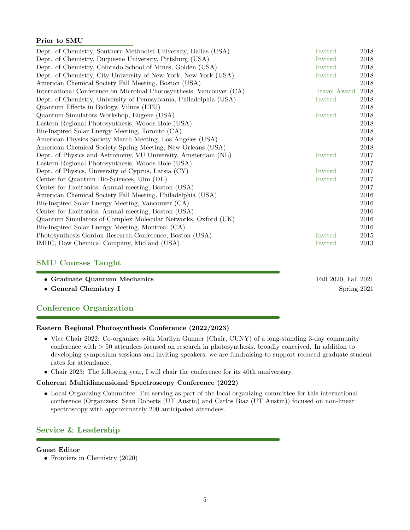### Prior to SMU

| Dept. of Chemistry, Southern Methodist University, Dallas (USA)      | Invited      | 2018 |
|----------------------------------------------------------------------|--------------|------|
| Dept. of Chemistry, Duquesne University, Pittsburg (USA)             | Invited      | 2018 |
| Dept. of Chemistry, Colorado School of Mines, Golden (USA)           | Invited      | 2018 |
| Dept. of Chemistry, City University of New York, New York (USA)      | Invited      | 2018 |
| American Chemical Society Fall Meeting, Boston (USA)                 |              | 2018 |
| International Conference on Microbial Photosynthesis, Vancouver (CA) | Travel Award | 2018 |
| Dept. of Chemistry, University of Pennsylvania, Philadelphia (USA)   | Invited      | 2018 |
| Quantum Effects in Biology, Vilnus (LTU)                             |              | 2018 |
| Quantum Simulators Workshop, Eugene (USA)                            | Invited      | 2018 |
| Eastern Regional Photosynthesis, Woods Hole (USA)                    |              | 2018 |
| Bio-Inspired Solar Energy Meeting, Toronto (CA)                      |              | 2018 |
| American Physics Society March Meeting, Los Angeles (USA)            |              | 2018 |
| American Chemical Society Spring Meeting, New Orleans (USA)          |              | 2018 |
| Dept. of Physics and Astronomy, VU University, Amsterdam (NL)        | Invited      | 2017 |
| Eastern Regional Photosynthesis, Woods Hole (USA)                    |              | 2017 |
| Dept. of Physics, University of Cyprus, Latsia (CY)                  | Invited      | 2017 |
| Center for Quantum Bio-Sciences, Ulm (DE)                            | Invited      | 2017 |
| Center for Excitonics, Annual meeting, Boston (USA)                  |              | 2017 |
| American Chemical Society Fall Meeting, Philadelphia (USA)           |              | 2016 |
| Bio-Inspired Solar Energy Meeting, Vancouver (CA)                    |              | 2016 |
| Center for Excitonics, Annual meeting, Boston (USA)                  |              | 2016 |
| Quantum Simulators of Complex Molecular Networks, Oxford (UK)        |              | 2016 |
| Bio-Inspired Solar Energy Meeting, Montreal (CA)                     |              | 2016 |
| Photosynthesis Gordon Research Conference, Boston (USA)              | Invited      | 2015 |
| IMHC, Dow Chemical Company, Midland (USA)                            | Invited      | 2013 |

### SMU Courses Taught

| • Graduate Quantum Mechanics | Fall 2020, Fall 2021 |
|------------------------------|----------------------|
| • General Chemistry I        | Spring 2021          |

### Conference Organization

### Eastern Regional Photosynthesis Conference (2022/2023)

- Vice Chair 2022: Co-organizer with Marilyn Gunner (Chair, CUNY) of a long-standing 3-day community conference with > 50 attendees focused on research in photosynthesis, broadly conceived. In addition to developing symposium sessions and inviting speakers, we are fundraising to support reduced graduate student rates for attendance.
- Chair 2023: The following year, I will chair the conference for its 40th anniversary.

### Coherent Multidimensional Spectroscopy Conference (2022)

• Local Organizing Committee: I'm serving as part of the local organizing committee for this international conference (Organizers: Sean Roberts (UT Austin) and Carlos Biaz (UT Austin)) focused on non-linear spectroscopy with approximately 200 anticipated attendees.

### Service & Leadership

#### Guest Editor

• Frontiers in Chemistry (2020)